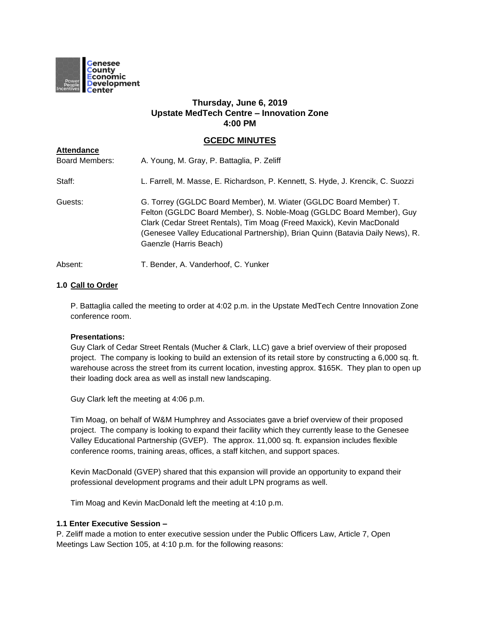

# **Thursday, June 6, 2019 Upstate MedTech Centre – Innovation Zone 4:00 PM**

# **GCEDC MINUTES**

| <b>Attendance</b>     |                                                                                                                                                                                                                                                                                                                                 |
|-----------------------|---------------------------------------------------------------------------------------------------------------------------------------------------------------------------------------------------------------------------------------------------------------------------------------------------------------------------------|
| <b>Board Members:</b> | A. Young, M. Gray, P. Battaglia, P. Zeliff                                                                                                                                                                                                                                                                                      |
| Staff:                | L. Farrell, M. Masse, E. Richardson, P. Kennett, S. Hyde, J. Krencik, C. Suozzi                                                                                                                                                                                                                                                 |
| Guests:               | G. Torrey (GGLDC Board Member), M. Wiater (GGLDC Board Member) T.<br>Felton (GGLDC Board Member), S. Noble-Moag (GGLDC Board Member), Guy<br>Clark (Cedar Street Rentals), Tim Moag (Freed Maxick), Kevin MacDonald<br>(Genesee Valley Educational Partnership), Brian Quinn (Batavia Daily News), R.<br>Gaenzle (Harris Beach) |
| Absent:               | T. Bender, A. Vanderhoof, C. Yunker                                                                                                                                                                                                                                                                                             |

# **1.0 Call to Order**

P. Battaglia called the meeting to order at 4:02 p.m. in the Upstate MedTech Centre Innovation Zone conference room.

## **Presentations:**

Guy Clark of Cedar Street Rentals (Mucher & Clark, LLC) gave a brief overview of their proposed project. The company is looking to build an extension of its retail store by constructing a 6,000 sq. ft. warehouse across the street from its current location, investing approx. \$165K. They plan to open up their loading dock area as well as install new landscaping.

Guy Clark left the meeting at 4:06 p.m.

Tim Moag, on behalf of W&M Humphrey and Associates gave a brief overview of their proposed project. The company is looking to expand their facility which they currently lease to the Genesee Valley Educational Partnership (GVEP). The approx. 11,000 sq. ft. expansion includes flexible conference rooms, training areas, offices, a staff kitchen, and support spaces.

Kevin MacDonald (GVEP) shared that this expansion will provide an opportunity to expand their professional development programs and their adult LPN programs as well.

Tim Moag and Kevin MacDonald left the meeting at 4:10 p.m.

## **1.1 Enter Executive Session –**

P. Zeliff made a motion to enter executive session under the Public Officers Law, Article 7, Open Meetings Law Section 105, at 4:10 p.m. for the following reasons: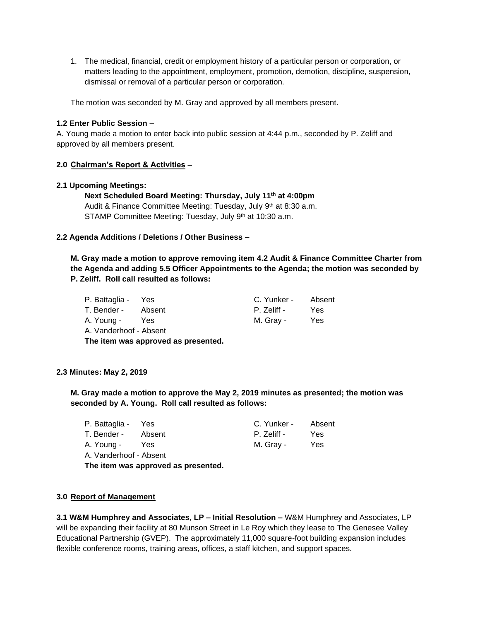1. The medical, financial, credit or employment history of a particular person or corporation, or matters leading to the appointment, employment, promotion, demotion, discipline, suspension, dismissal or removal of a particular person or corporation.

The motion was seconded by M. Gray and approved by all members present.

# **1.2 Enter Public Session –**

A. Young made a motion to enter back into public session at 4:44 p.m., seconded by P. Zeliff and approved by all members present.

# **2.0 Chairman's Report & Activities –**

# **2.1 Upcoming Meetings:**

**Next Scheduled Board Meeting: Thursday, July 11th at 4:00pm** Audit & Finance Committee Meeting: Tuesday, July 9<sup>th</sup> at 8:30 a.m. STAMP Committee Meeting: Tuesday, July 9th at 10:30 a.m.

# **2.2 Agenda Additions / Deletions / Other Business –**

**M. Gray made a motion to approve removing item 4.2 Audit & Finance Committee Charter from the Agenda and adding 5.5 Officer Appointments to the Agenda; the motion was seconded by P. Zeliff. Roll call resulted as follows:**

| P. Battaglia - Yes     |        | C. Yunker - | Absent |
|------------------------|--------|-------------|--------|
| T. Bender -            | Absent | P. Zeliff - | Yes    |
| A. Young -             | Yes.   | M. Gray -   | Yes    |
| A. Vanderhoof - Absent |        |             |        |

**The item was approved as presented.**

## **2.3 Minutes: May 2, 2019**

**M. Gray made a motion to approve the May 2, 2019 minutes as presented; the motion was seconded by A. Young. Roll call resulted as follows:**

| P. Battaglia - Yes                  |     | C. Yunker - Absent |     |
|-------------------------------------|-----|--------------------|-----|
| T. Bender - Absent                  |     | P. Zeliff -        | Yes |
| A. Young -                          | Yes | M. Gray -          | Yes |
| A. Vanderhoof - Absent              |     |                    |     |
| The item was approved as presented. |     |                    |     |

## **3.0 Report of Management**

**3.1 W&M Humphrey and Associates, LP – Initial Resolution –** W&M Humphrey and Associates, LP will be expanding their facility at 80 Munson Street in Le Roy which they lease to The Genesee Valley Educational Partnership (GVEP). The approximately 11,000 square-foot building expansion includes flexible conference rooms, training areas, offices, a staff kitchen, and support spaces.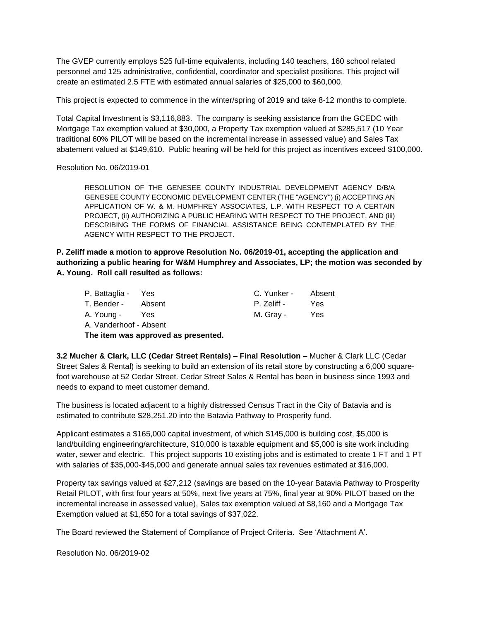The GVEP currently employs 525 full-time equivalents, including 140 teachers, 160 school related personnel and 125 administrative, confidential, coordinator and specialist positions. This project will create an estimated 2.5 FTE with estimated annual salaries of \$25,000 to \$60,000.

This project is expected to commence in the winter/spring of 2019 and take 8-12 months to complete.

Total Capital Investment is \$3,116,883. The company is seeking assistance from the GCEDC with Mortgage Tax exemption valued at \$30,000, a Property Tax exemption valued at \$285,517 (10 Year traditional 60% PILOT will be based on the incremental increase in assessed value) and Sales Tax abatement valued at \$149,610. Public hearing will be held for this project as incentives exceed \$100,000.

Resolution No. 06/2019-01

RESOLUTION OF THE GENESEE COUNTY INDUSTRIAL DEVELOPMENT AGENCY D/B/A GENESEE COUNTY ECONOMIC DEVELOPMENT CENTER (THE "AGENCY") (i) ACCEPTING AN APPLICATION OF W. & M. HUMPHREY ASSOCIATES, L.P. WITH RESPECT TO A CERTAIN PROJECT, (ii) AUTHORIZING A PUBLIC HEARING WITH RESPECT TO THE PROJECT, AND (iii) DESCRIBING THE FORMS OF FINANCIAL ASSISTANCE BEING CONTEMPLATED BY THE AGENCY WITH RESPECT TO THE PROJECT.

**P. Zeliff made a motion to approve Resolution No. 06/2019-01, accepting the application and authorizing a public hearing for W&M Humphrey and Associates, LP; the motion was seconded by A. Young. Roll call resulted as follows:**

| P. Battaglia - Yes                  |     | C. Yunker - | Absent |
|-------------------------------------|-----|-------------|--------|
| T. Bender - Absent                  |     | P. Zeliff - | Yes    |
| A. Young -                          | Yes | M. Grav -   | Yes    |
| A. Vanderhoof - Absent              |     |             |        |
| The item was approved as presented. |     |             |        |

**3.2 Mucher & Clark, LLC (Cedar Street Rentals) – Final Resolution –** Mucher & Clark LLC (Cedar Street Sales & Rental) is seeking to build an extension of its retail store by constructing a 6,000 squarefoot warehouse at 52 Cedar Street. Cedar Street Sales & Rental has been in business since 1993 and needs to expand to meet customer demand.

The business is located adjacent to a highly distressed Census Tract in the City of Batavia and is estimated to contribute \$28,251.20 into the Batavia Pathway to Prosperity fund.

Applicant estimates a \$165,000 capital investment, of which \$145,000 is building cost, \$5,000 is land/building engineering/architecture, \$10,000 is taxable equipment and \$5,000 is site work including water, sewer and electric. This project supports 10 existing jobs and is estimated to create 1 FT and 1 PT with salaries of \$35,000-\$45,000 and generate annual sales tax revenues estimated at \$16,000.

Property tax savings valued at \$27,212 (savings are based on the 10-year Batavia Pathway to Prosperity Retail PILOT, with first four years at 50%, next five years at 75%, final year at 90% PILOT based on the incremental increase in assessed value), Sales tax exemption valued at \$8,160 and a Mortgage Tax Exemption valued at \$1,650 for a total savings of \$37,022.

The Board reviewed the Statement of Compliance of Project Criteria. See 'Attachment A'.

Resolution No. 06/2019-02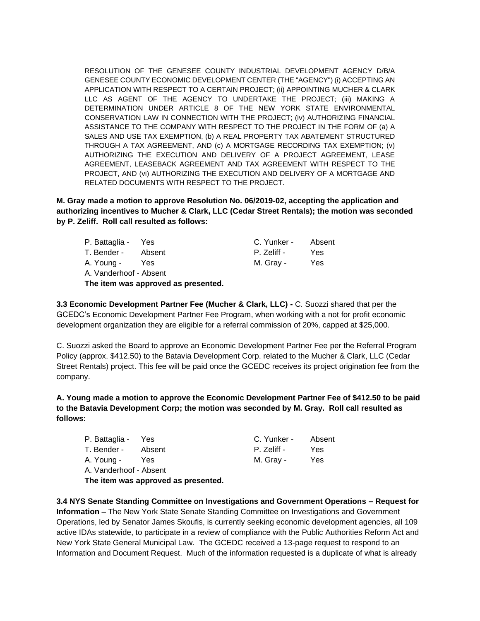RESOLUTION OF THE GENESEE COUNTY INDUSTRIAL DEVELOPMENT AGENCY D/B/A GENESEE COUNTY ECONOMIC DEVELOPMENT CENTER (THE "AGENCY") (i) ACCEPTING AN APPLICATION WITH RESPECT TO A CERTAIN PROJECT; (ii) APPOINTING MUCHER & CLARK LLC AS AGENT OF THE AGENCY TO UNDERTAKE THE PROJECT; (iii) MAKING A DETERMINATION UNDER ARTICLE 8 OF THE NEW YORK STATE ENVIRONMENTAL CONSERVATION LAW IN CONNECTION WITH THE PROJECT; (iv) AUTHORIZING FINANCIAL ASSISTANCE TO THE COMPANY WITH RESPECT TO THE PROJECT IN THE FORM OF (a) A SALES AND USE TAX EXEMPTION, (b) A REAL PROPERTY TAX ABATEMENT STRUCTURED THROUGH A TAX AGREEMENT, AND (c) A MORTGAGE RECORDING TAX EXEMPTION; (v) AUTHORIZING THE EXECUTION AND DELIVERY OF A PROJECT AGREEMENT, LEASE AGREEMENT, LEASEBACK AGREEMENT AND TAX AGREEMENT WITH RESPECT TO THE PROJECT, AND (vi) AUTHORIZING THE EXECUTION AND DELIVERY OF A MORTGAGE AND RELATED DOCUMENTS WITH RESPECT TO THE PROJECT.

**M. Gray made a motion to approve Resolution No. 06/2019-02, accepting the application and authorizing incentives to Mucher & Clark, LLC (Cedar Street Rentals); the motion was seconded by P. Zeliff. Roll call resulted as follows:**

| P. Battaglia -                      | Yes        | C. Yunker - | Absent |
|-------------------------------------|------------|-------------|--------|
| T. Bender - Absent                  |            | P. Zeliff - | Yes    |
| A. Young -                          | <b>Yes</b> | M. Gray -   | Yes    |
| A. Vanderhoof - Absent              |            |             |        |
| The item was approved as presented. |            |             |        |

**3.3 Economic Development Partner Fee (Mucher & Clark, LLC) -** C. Suozzi shared that per the GCEDC's Economic Development Partner Fee Program, when working with a not for profit economic development organization they are eligible for a referral commission of 20%, capped at \$25,000.

C. Suozzi asked the Board to approve an Economic Development Partner Fee per the Referral Program Policy (approx. \$412.50) to the Batavia Development Corp. related to the Mucher & Clark, LLC (Cedar Street Rentals) project. This fee will be paid once the GCEDC receives its project origination fee from the company.

**A. Young made a motion to approve the Economic Development Partner Fee of \$412.50 to be paid to the Batavia Development Corp; the motion was seconded by M. Gray. Roll call resulted as follows:**

| P. Battaglia - Yes     |            | C. Yunker - | Absent |
|------------------------|------------|-------------|--------|
| T. Bender -            | Absent     | P. Zeliff - | Yes    |
| A. Young -             | <b>Yes</b> | M. Grav -   | Yes    |
| A. Vanderhoof - Absent |            |             |        |

**The item was approved as presented.**

**3.4 NYS Senate Standing Committee on Investigations and Government Operations – Request for Information –** The New York State Senate Standing Committee on Investigations and Government Operations, led by Senator James Skoufis, is currently seeking economic development agencies, all 109 active IDAs statewide, to participate in a review of compliance with the Public Authorities Reform Act and New York State General Municipal Law. The GCEDC received a 13-page request to respond to an Information and Document Request.Much of the information requested is a duplicate of what is already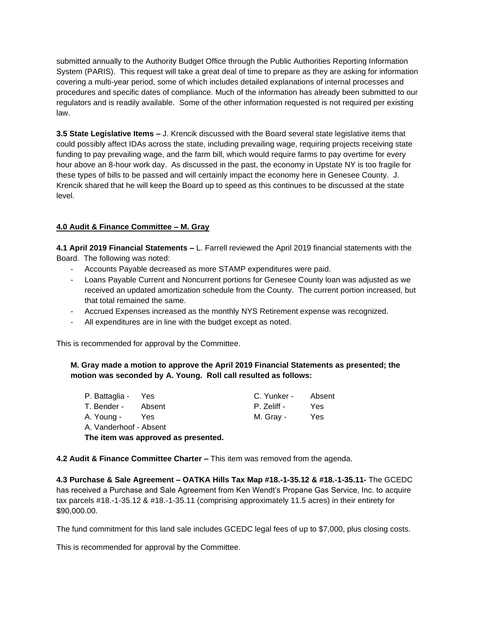submitted annually to the Authority Budget Office through the Public Authorities Reporting Information System (PARIS). This request will take a great deal of time to prepare as they are asking for information covering a multi-year period, some of which includes detailed explanations of internal processes and procedures and specific dates of compliance. Much of the information has already been submitted to our regulators and is readily available. Some of the other information requested is not required per existing law.

**3.5 State Legislative Items –** J. Krencik discussed with the Board several state legislative items that could possibly affect IDAs across the state, including prevailing wage, requiring projects receiving state funding to pay prevailing wage, and the farm bill, which would require farms to pay overtime for every hour above an 8-hour work day. As discussed in the past, the economy in Upstate NY is too fragile for these types of bills to be passed and will certainly impact the economy here in Genesee County. J. Krencik shared that he will keep the Board up to speed as this continues to be discussed at the state level.

# **4.0 Audit & Finance Committee – M. Gray**

**4.1 April 2019 Financial Statements –** L. Farrell reviewed the April 2019 financial statements with the Board. The following was noted:

- Accounts Payable decreased as more STAMP expenditures were paid.
- Loans Payable Current and Noncurrent portions for Genesee County loan was adjusted as we received an updated amortization schedule from the County. The current portion increased, but that total remained the same.
- Accrued Expenses increased as the monthly NYS Retirement expense was recognized.
- All expenditures are in line with the budget except as noted.

This is recommended for approval by the Committee.

# **M. Gray made a motion to approve the April 2019 Financial Statements as presented; the motion was seconded by A. Young. Roll call resulted as follows:**

| P. Battaglia - Yes                  |        | C. Yunker - | Absent |
|-------------------------------------|--------|-------------|--------|
| T. Bender -                         | Absent | P. Zeliff - | Yes    |
| A. Young -                          | Yes    | M. Gray -   | Yes    |
| A. Vanderhoof - Absent              |        |             |        |
| The item was approved as presented. |        |             |        |

# **4.2 Audit & Finance Committee Charter –** This item was removed from the agenda.

**4.3 Purchase & Sale Agreement – OATKA Hills Tax Map #18.-1-35.12 & #18.-1-35.11-** The GCEDC has received a Purchase and Sale Agreement from Ken Wendt's Propane Gas Service, Inc. to acquire tax parcels #18.-1-35.12 & #18.-1-35.11 (comprising approximately 11.5 acres) in their entirety for \$90,000.00.

The fund commitment for this land sale includes GCEDC legal fees of up to \$7,000, plus closing costs.

This is recommended for approval by the Committee.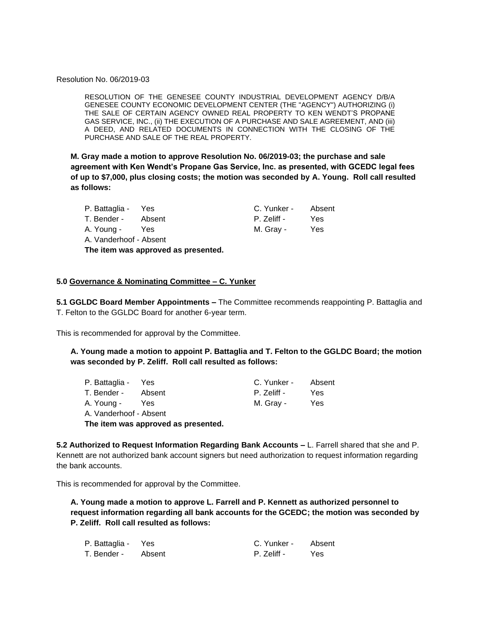#### Resolution No. 06/2019-03

RESOLUTION OF THE GENESEE COUNTY INDUSTRIAL DEVELOPMENT AGENCY D/B/A GENESEE COUNTY ECONOMIC DEVELOPMENT CENTER (THE "AGENCY") AUTHORIZING (i) THE SALE OF CERTAIN AGENCY OWNED REAL PROPERTY TO KEN WENDT'S PROPANE GAS SERVICE, INC., (ii) THE EXECUTION OF A PURCHASE AND SALE AGREEMENT, AND (iii) A DEED, AND RELATED DOCUMENTS IN CONNECTION WITH THE CLOSING OF THE PURCHASE AND SALE OF THE REAL PROPERTY.

**M. Gray made a motion to approve Resolution No. 06/2019-03; the purchase and sale agreement with Ken Wendt's Propane Gas Service, Inc. as presented, with GCEDC legal fees of up to \$7,000, plus closing costs; the motion was seconded by A. Young. Roll call resulted as follows:**

| P. Battaglia - Yes     |                                                                                                                | C. Yunker - | Absent |
|------------------------|----------------------------------------------------------------------------------------------------------------|-------------|--------|
| T. Bender - Absent     |                                                                                                                | P. Zeliff - | Yes    |
| A. Young -             | Yes                                                                                                            | M. Gray -   | Yes    |
| A. Vanderhoof - Absent |                                                                                                                |             |        |
|                        | - The contract contract in the contract of the contract of the contract of the contract of the contract of the |             |        |

**The item was approved as presented.**

## **5.0 Governance & Nominating Committee – C. Yunker**

**5.1 GGLDC Board Member Appointments –** The Committee recommends reappointing P. Battaglia and T. Felton to the GGLDC Board for another 6-year term.

This is recommended for approval by the Committee.

**A. Young made a motion to appoint P. Battaglia and T. Felton to the GGLDC Board; the motion was seconded by P. Zeliff. Roll call resulted as follows:**

| P. Battaglia - Yes                  |        | C. Yunker - | Absent |
|-------------------------------------|--------|-------------|--------|
| T. Bender -                         | Absent | P. Zeliff - | Yes    |
| A. Young -                          | Yes    | M. Gray -   | Yes    |
| A. Vanderhoof - Absent              |        |             |        |
| The item was approved as presented. |        |             |        |

**5.2 Authorized to Request Information Regarding Bank Accounts –** L. Farrell shared that she and P. Kennett are not authorized bank account signers but need authorization to request information regarding the bank accounts.

This is recommended for approval by the Committee.

**A. Young made a motion to approve L. Farrell and P. Kennett as authorized personnel to request information regarding all bank accounts for the GCEDC; the motion was seconded by P. Zeliff. Roll call resulted as follows:**

| P. Battaglia - | Yes    | C. Yunker - | Absent |
|----------------|--------|-------------|--------|
| T. Bender -    | Absent | P. Zeliff - | Yes    |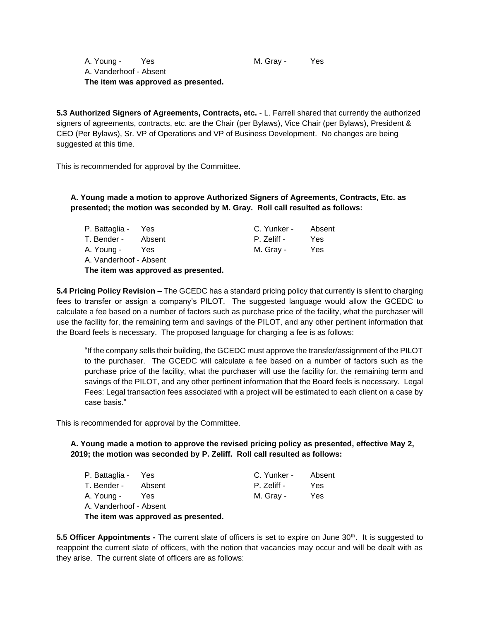A. Young - Yes M. Gray - Yes A. Vanderhoof - Absent **The item was approved as presented.**

**5.3 Authorized Signers of Agreements, Contracts, etc.** - L. Farrell shared that currently the authorized signers of agreements, contracts, etc. are the Chair (per Bylaws), Vice Chair (per Bylaws), President & CEO (Per Bylaws), Sr. VP of Operations and VP of Business Development. No changes are being suggested at this time.

This is recommended for approval by the Committee.

**A. Young made a motion to approve Authorized Signers of Agreements, Contracts, Etc. as presented; the motion was seconded by M. Gray. Roll call resulted as follows:**

| P. Battaglia - Yes                  |        | C. Yunker - Absent |     |  |
|-------------------------------------|--------|--------------------|-----|--|
| T. Bender -                         | Absent | P. Zeliff -        | Yes |  |
| A. Young -                          | Yes    | M. Gray -          | Yes |  |
| A. Vanderhoof - Absent              |        |                    |     |  |
| The item was approved as presented. |        |                    |     |  |

**5.4 Pricing Policy Revision –** The GCEDC has a standard pricing policy that currently is silent to charging fees to transfer or assign a company's PILOT. The suggested language would allow the GCEDC to calculate a fee based on a number of factors such as purchase price of the facility, what the purchaser will use the facility for, the remaining term and savings of the PILOT, and any other pertinent information that the Board feels is necessary. The proposed language for charging a fee is as follows:

"If the company sells their building, the GCEDC must approve the transfer/assignment of the PILOT to the purchaser. The GCEDC will calculate a fee based on a number of factors such as the purchase price of the facility, what the purchaser will use the facility for, the remaining term and savings of the PILOT, and any other pertinent information that the Board feels is necessary. Legal Fees: Legal transaction fees associated with a project will be estimated to each client on a case by case basis."

This is recommended for approval by the Committee.

**A. Young made a motion to approve the revised pricing policy as presented, effective May 2, 2019; the motion was seconded by P. Zeliff. Roll call resulted as follows:**

| P. Battaglia - Yes                  |        | C. Yunker - | Absent |
|-------------------------------------|--------|-------------|--------|
| T. Bender -                         | Absent | P. Zeliff - | Yes    |
| A. Young -                          | Yes    | M. Grav -   | Yes    |
| A. Vanderhoof - Absent              |        |             |        |
| The item was approved as presented. |        |             |        |

**5.5 Officer Appointments -** The current slate of officers is set to expire on June 30<sup>th</sup>. It is suggested to reappoint the current slate of officers, with the notion that vacancies may occur and will be dealt with as they arise. The current slate of officers are as follows: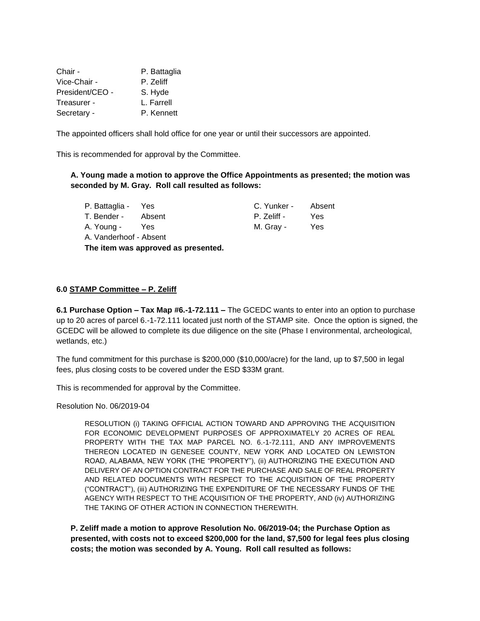Chair - P. Battaglia Vice-Chair - P. Zeliff President/CEO - S. Hyde Treasurer - L. Farrell Secretary - P. Kennett

The appointed officers shall hold office for one year or until their successors are appointed.

This is recommended for approval by the Committee.

# **A. Young made a motion to approve the Office Appointments as presented; the motion was seconded by M. Gray. Roll call resulted as follows:**

| P. Battaglia - Yes                  |     | C. Yunker - Absent |     |
|-------------------------------------|-----|--------------------|-----|
| T. Bender - Absent                  |     | P. Zeliff -        | Yes |
| A. Young -                          | Yes | M. Gray -          | Yes |
| A. Vanderhoof - Absent              |     |                    |     |
| The item was approved as presented. |     |                    |     |

# **6.0 STAMP Committee – P. Zeliff**

**6.1 Purchase Option – Tax Map #6.-1-72.111 –** The GCEDC wants to enter into an option to purchase up to 20 acres of parcel 6.-1-72.111 located just north of the STAMP site. Once the option is signed, the GCEDC will be allowed to complete its due diligence on the site (Phase I environmental, archeological, wetlands, etc.)

The fund commitment for this purchase is \$200,000 (\$10,000/acre) for the land, up to \$7,500 in legal fees, plus closing costs to be covered under the ESD \$33M grant.

This is recommended for approval by the Committee.

Resolution No. 06/2019-04

RESOLUTION (i) TAKING OFFICIAL ACTION TOWARD AND APPROVING THE ACQUISITION FOR ECONOMIC DEVELOPMENT PURPOSES OF APPROXIMATELY 20 ACRES OF REAL PROPERTY WITH THE TAX MAP PARCEL NO. 6.-1-72.111, AND ANY IMPROVEMENTS THEREON LOCATED IN GENESEE COUNTY, NEW YORK AND LOCATED ON LEWISTON ROAD, ALABAMA, NEW YORK (THE "PROPERTY"), (ii) AUTHORIZING THE EXECUTION AND DELIVERY OF AN OPTION CONTRACT FOR THE PURCHASE AND SALE OF REAL PROPERTY AND RELATED DOCUMENTS WITH RESPECT TO THE ACQUISITION OF THE PROPERTY ("CONTRACT"), (iii) AUTHORIZING THE EXPENDITURE OF THE NECESSARY FUNDS OF THE AGENCY WITH RESPECT TO THE ACQUISITION OF THE PROPERTY, AND (iv) AUTHORIZING THE TAKING OF OTHER ACTION IN CONNECTION THEREWITH.

**P. Zeliff made a motion to approve Resolution No. 06/2019-04; the Purchase Option as presented, with costs not to exceed \$200,000 for the land, \$7,500 for legal fees plus closing costs; the motion was seconded by A. Young. Roll call resulted as follows:**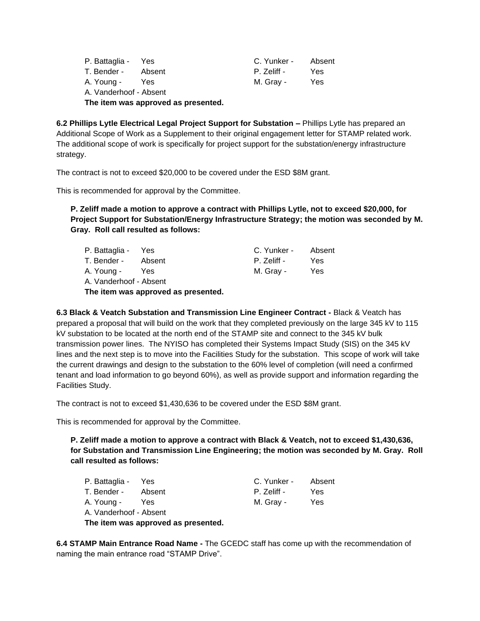| P. Battaglia - Yes                  |     | C. Yunker - | Absent |
|-------------------------------------|-----|-------------|--------|
| T. Bender - Absent                  |     | P. Zeliff - | Yes    |
| A. Young -                          | Yes | M. Gray -   | Yes    |
| A. Vanderhoof - Absent              |     |             |        |
| The item was approved as presented. |     |             |        |

**6.2 Phillips Lytle Electrical Legal Project Support for Substation –** Phillips Lytle has prepared an Additional Scope of Work as a Supplement to their original engagement letter for STAMP related work. The additional scope of work is specifically for project support for the substation/energy infrastructure strategy.

The contract is not to exceed \$20,000 to be covered under the ESD \$8M grant.

This is recommended for approval by the Committee.

**P. Zeliff made a motion to approve a contract with Phillips Lytle, not to exceed \$20,000, for Project Support for Substation/Energy Infrastructure Strategy; the motion was seconded by M. Gray. Roll call resulted as follows:**

| P. Battaglia - Yes                  |     | C. Yunker - | Absent |
|-------------------------------------|-----|-------------|--------|
| T. Bender - Absent                  |     | P. Zeliff - | Yes    |
| A. Young -                          | Yes | M. Gray -   | Yes    |
| A. Vanderhoof - Absent              |     |             |        |
| The item was approved as presented. |     |             |        |

**6.3 Black & Veatch Substation and Transmission Line Engineer Contract -** Black & Veatch has prepared a proposal that will build on the work that they completed previously on the large 345 kV to 115 kV substation to be located at the north end of the STAMP site and connect to the 345 kV bulk transmission power lines. The NYISO has completed their Systems Impact Study (SIS) on the 345 kV lines and the next step is to move into the Facilities Study for the substation. This scope of work will take the current drawings and design to the substation to the 60% level of completion (will need a confirmed tenant and load information to go beyond 60%), as well as provide support and information regarding the Facilities Study.

The contract is not to exceed \$1,430,636 to be covered under the ESD \$8M grant.

This is recommended for approval by the Committee.

**P. Zeliff made a motion to approve a contract with Black & Veatch, not to exceed \$1,430,636, for Substation and Transmission Line Engineering; the motion was seconded by M. Gray. Roll call resulted as follows:**

| P. Battaglia - Yes                  |        | C. Yunker - | Absent |
|-------------------------------------|--------|-------------|--------|
| T. Bender -                         | Absent | P. Zeliff - | Yes    |
| A. Young -                          | Yes    | M. Gray -   | Yes    |
| A. Vanderhoof - Absent              |        |             |        |
| The item was approved as presented. |        |             |        |

**6.4 STAMP Main Entrance Road Name -** The GCEDC staff has come up with the recommendation of naming the main entrance road "STAMP Drive".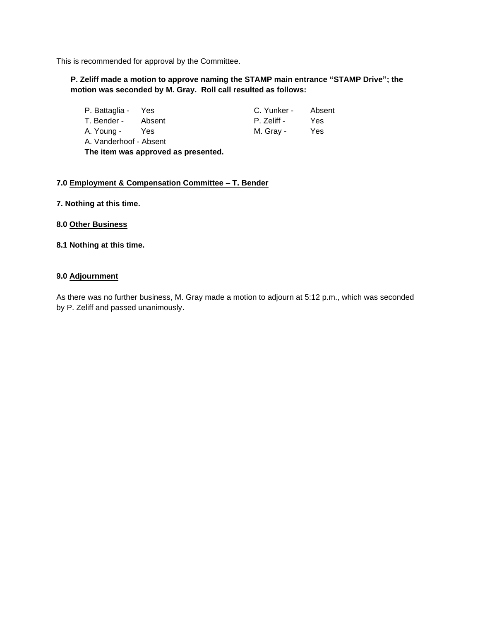This is recommended for approval by the Committee.

# **P. Zeliff made a motion to approve naming the STAMP main entrance "STAMP Drive"; the motion was seconded by M. Gray. Roll call resulted as follows:**

| P. Battaglia - Yes                  |            | C. Yunker - | Absent     |
|-------------------------------------|------------|-------------|------------|
| T. Bender - Absent                  |            | P. Zeliff - | <b>Yes</b> |
| A. Young -                          | <b>Yes</b> | M. Gray -   | <b>Yes</b> |
| A. Vanderhoof - Absent              |            |             |            |
| The item was approved as presented. |            |             |            |

# **7.0 Employment & Compensation Committee – T. Bender**

- **7. Nothing at this time.**
- **8.0 Other Business**
- **8.1 Nothing at this time.**

# **9.0 Adjournment**

As there was no further business, M. Gray made a motion to adjourn at 5:12 p.m., which was seconded by P. Zeliff and passed unanimously.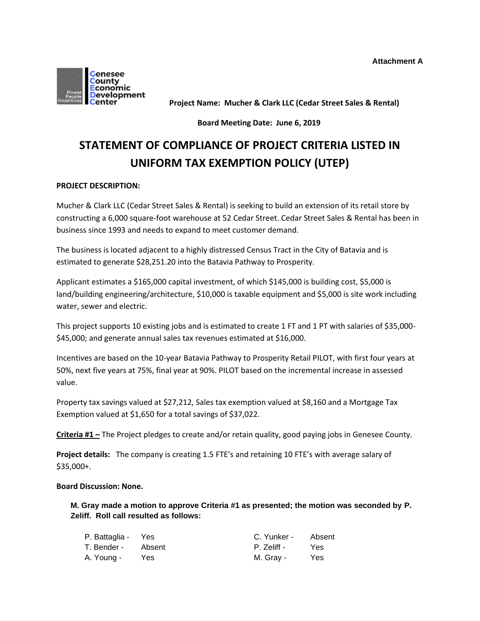**Attachment A**



**Project Name: Mucher & Clark LLC (Cedar Street Sales & Rental)**

**Board Meeting Date: June 6, 2019**

# **STATEMENT OF COMPLIANCE OF PROJECT CRITERIA LISTED IN UNIFORM TAX EXEMPTION POLICY (UTEP)**

# **PROJECT DESCRIPTION:**

Mucher & Clark LLC (Cedar Street Sales & Rental) is seeking to build an extension of its retail store by constructing a 6,000 square-foot warehouse at 52 Cedar Street. Cedar Street Sales & Rental has been in business since 1993 and needs to expand to meet customer demand.

The business is located adjacent to a highly distressed Census Tract in the City of Batavia and is estimated to generate \$28,251.20 into the Batavia Pathway to Prosperity.

Applicant estimates a \$165,000 capital investment, of which \$145,000 is building cost, \$5,000 is land/building engineering/architecture, \$10,000 is taxable equipment and \$5,000 is site work including water, sewer and electric.

This project supports 10 existing jobs and is estimated to create 1 FT and 1 PT with salaries of \$35,000- \$45,000; and generate annual sales tax revenues estimated at \$16,000.

Incentives are based on the 10-year Batavia Pathway to Prosperity Retail PILOT, with first four years at 50%, next five years at 75%, final year at 90%. PILOT based on the incremental increase in assessed value.

Property tax savings valued at \$27,212, Sales tax exemption valued at \$8,160 and a Mortgage Tax Exemption valued at \$1,650 for a total savings of \$37,022.

**Criteria #1 –** The Project pledges to create and/or retain quality, good paying jobs in Genesee County.

**Project details:** The company is creating 1.5 FTE's and retaining 10 FTE's with average salary of \$35,000+.

## **Board Discussion: None.**

**M. Gray made a motion to approve Criteria #1 as presented; the motion was seconded by P. Zeliff. Roll call resulted as follows:**

| P. Battaglia - Yes |      | C. Yunker - | Absent |
|--------------------|------|-------------|--------|
| T. Bender - Absent |      | P. Zeliff - | Yes    |
| A. Young -         | Yes. | M. Gray -   | Yes    |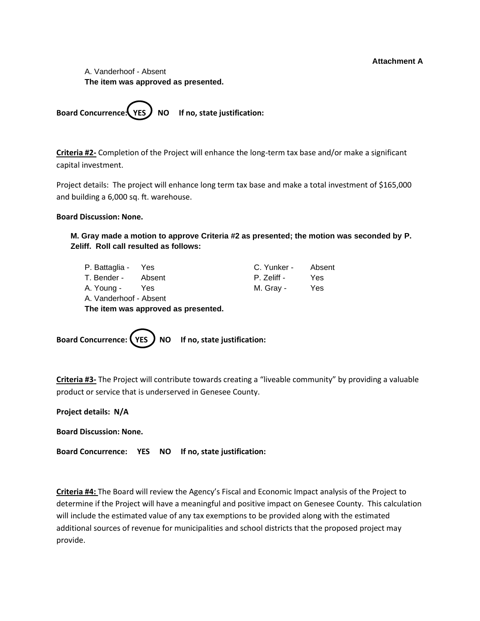# **Attachment A**

A. Vanderhoof - Absent **The item was approved as presented.**

Board Concurrence: **YES** NO If no, state justification:

**Criteria #2-** Completion of the Project will enhance the long-term tax base and/or make a significant capital investment.

Project details: The project will enhance long term tax base and make a total investment of \$165,000 and building a 6,000 sq. ft. warehouse.

# **Board Discussion: None.**

**M. Gray made a motion to approve Criteria #2 as presented; the motion was seconded by P. Zeliff. Roll call resulted as follows:**

|                        | The beam were removed as more control |             |        |
|------------------------|---------------------------------------|-------------|--------|
| A. Vanderhoof - Absent |                                       |             |        |
| A. Young -             | Yes                                   | M. Gray -   | Yes    |
| T. Bender -            | Absent                                | P. Zeliff - | Yes    |
| P. Battaglia - Yes     |                                       | C. Yunker - | Absent |

**The item was approved as presented.**

Board Concurrence: (YES ) NO If no, state justification:

**Criteria #3-** The Project will contribute towards creating a "liveable community" by providing a valuable product or service that is underserved in Genesee County.

**Project details: N/A**

**Board Discussion: None.**

**Board Concurrence: YES NO If no, state justification:**

**Criteria #4:** The Board will review the Agency's Fiscal and Economic Impact analysis of the Project to determine if the Project will have a meaningful and positive impact on Genesee County. This calculation will include the estimated value of any tax exemptions to be provided along with the estimated additional sources of revenue for municipalities and school districts that the proposed project may provide.